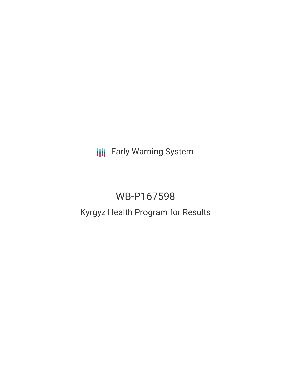**III** Early Warning System

# WB-P167598 Kyrgyz Health Program for Results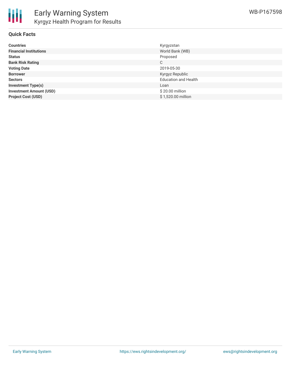

## **Quick Facts**

| <b>Countries</b>               | Kyrgyzstan                  |
|--------------------------------|-----------------------------|
| <b>Financial Institutions</b>  | World Bank (WB)             |
| <b>Status</b>                  | Proposed                    |
| <b>Bank Risk Rating</b>        | С                           |
| <b>Voting Date</b>             | 2019-05-30                  |
| <b>Borrower</b>                | Kyrgyz Republic             |
| <b>Sectors</b>                 | <b>Education and Health</b> |
| <b>Investment Type(s)</b>      | Loan                        |
| <b>Investment Amount (USD)</b> | \$20.00 million             |
| <b>Project Cost (USD)</b>      | \$1,520.00 million          |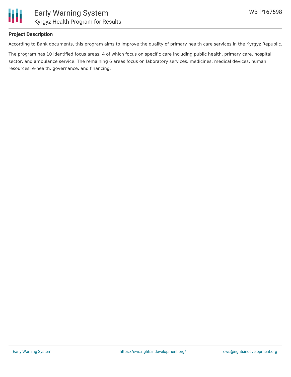

# **Project Description**

According to Bank documents, this program aims to improve the quality of primary health care services in the Kyrgyz Republic.

The program has 10 identified focus areas, 4 of which focus on specific care including public health, primary care, hospital sector, and ambulance service. The remaining 6 areas focus on laboratory services, medicines, medical devices, human resources, e-health, governance, and financing.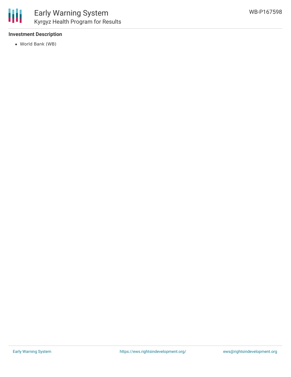

# **Investment Description**

World Bank (WB)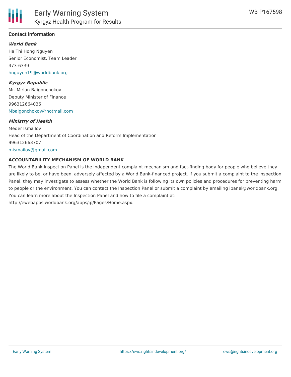

# **Contact Information**

#### **World Bank**

Ha Thi Hong Nguyen Senior Economist, Team Leader 473-6339 [hnguyen19@worldbank.org](mailto:hnguyen19@worldbank.org)

#### **Kyrgyz Republic**

Mr. Mirlan Baigonchokov Deputy Minister of Finance 996312664036 [Mbaigonchokov@hotmail.com](mailto:Mbaigonchokov@hotmail.com)

#### **Ministry of Health**

Meder Ismailov Head of the Department of Coordination and Reform Implementation 996312663707 [mismailov@gmail.com](mailto:mismailov@gmail.com)

#### **ACCOUNTABILITY MECHANISM OF WORLD BANK**

The World Bank Inspection Panel is the independent complaint mechanism and fact-finding body for people who believe they are likely to be, or have been, adversely affected by a World Bank-financed project. If you submit a complaint to the Inspection Panel, they may investigate to assess whether the World Bank is following its own policies and procedures for preventing harm to people or the environment. You can contact the Inspection Panel or submit a complaint by emailing ipanel@worldbank.org. You can learn more about the Inspection Panel and how to file a complaint at: http://ewebapps.worldbank.org/apps/ip/Pages/Home.aspx.